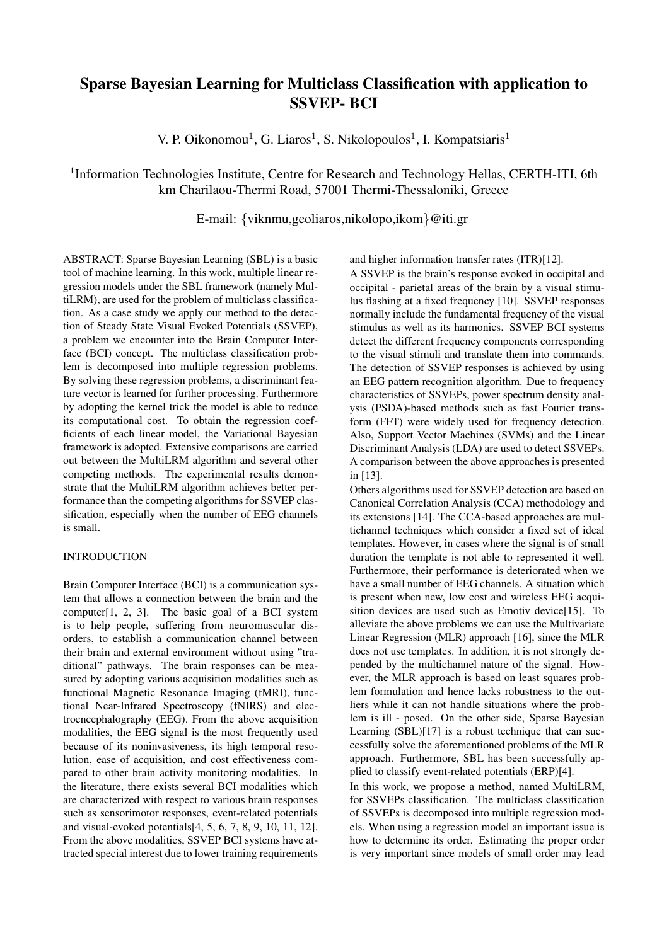# Sparse Bayesian Learning for Multiclass Classification with application to SSVEP- BCI

V. P. Oikonomou<sup>1</sup>, G. Liaros<sup>1</sup>, S. Nikolopoulos<sup>1</sup>, I. Kompatsiaris<sup>1</sup>

# <sup>1</sup>Information Technologies Institute, Centre for Research and Technology Hellas, CERTH-ITI, 6th km Charilaou-Thermi Road, 57001 Thermi-Thessaloniki, Greece

E-mail: {viknmu,geoliaros,nikolopo,ikom}@iti.gr

ABSTRACT: Sparse Bayesian Learning (SBL) is a basic tool of machine learning. In this work, multiple linear regression models under the SBL framework (namely MultiLRM), are used for the problem of multiclass classification. As a case study we apply our method to the detection of Steady State Visual Evoked Potentials (SSVEP), a problem we encounter into the Brain Computer Interface (BCI) concept. The multiclass classification problem is decomposed into multiple regression problems. By solving these regression problems, a discriminant feature vector is learned for further processing. Furthermore by adopting the kernel trick the model is able to reduce its computational cost. To obtain the regression coefficients of each linear model, the Variational Bayesian framework is adopted. Extensive comparisons are carried out between the MultiLRM algorithm and several other competing methods. The experimental results demonstrate that the MultiLRM algorithm achieves better performance than the competing algorithms for SSVEP classification, especially when the number of EEG channels is small.

### INTRODUCTION

Brain Computer Interface (BCI) is a communication system that allows a connection between the brain and the computer[1, 2, 3]. The basic goal of a BCI system is to help people, suffering from neuromuscular disorders, to establish a communication channel between their brain and external environment without using "traditional" pathways. The brain responses can be measured by adopting various acquisition modalities such as functional Magnetic Resonance Imaging (fMRI), functional Near-Infrared Spectroscopy (fNIRS) and electroencephalography (EEG). From the above acquisition modalities, the EEG signal is the most frequently used because of its noninvasiveness, its high temporal resolution, ease of acquisition, and cost effectiveness compared to other brain activity monitoring modalities. In the literature, there exists several BCI modalities which are characterized with respect to various brain responses such as sensorimotor responses, event-related potentials and visual-evoked potentials[4, 5, 6, 7, 8, 9, 10, 11, 12]. From the above modalities, SSVEP BCI systems have attracted special interest due to lower training requirements and higher information transfer rates (ITR)[12].

A SSVEP is the brain's response evoked in occipital and occipital - parietal areas of the brain by a visual stimulus flashing at a fixed frequency [10]. SSVEP responses normally include the fundamental frequency of the visual stimulus as well as its harmonics. SSVEP BCI systems detect the different frequency components corresponding to the visual stimuli and translate them into commands. The detection of SSVEP responses is achieved by using an EEG pattern recognition algorithm. Due to frequency characteristics of SSVEPs, power spectrum density analysis (PSDA)-based methods such as fast Fourier transform (FFT) were widely used for frequency detection. Also, Support Vector Machines (SVMs) and the Linear Discriminant Analysis (LDA) are used to detect SSVEPs. A comparison between the above approaches is presented in [13].

Others algorithms used for SSVEP detection are based on Canonical Correlation Analysis (CCA) methodology and its extensions [14]. The CCA-based approaches are multichannel techniques which consider a fixed set of ideal templates. However, in cases where the signal is of small duration the template is not able to represented it well. Furthermore, their performance is deteriorated when we have a small number of EEG channels. A situation which is present when new, low cost and wireless EEG acquisition devices are used such as Emotiv device[15]. To alleviate the above problems we can use the Multivariate Linear Regression (MLR) approach [16], since the MLR does not use templates. In addition, it is not strongly depended by the multichannel nature of the signal. However, the MLR approach is based on least squares problem formulation and hence lacks robustness to the outliers while it can not handle situations where the problem is ill - posed. On the other side, Sparse Bayesian Learning (SBL)[17] is a robust technique that can successfully solve the aforementioned problems of the MLR approach. Furthermore, SBL has been successfully applied to classify event-related potentials (ERP)[4].

In this work, we propose a method, named MultiLRM, for SSVEPs classification. The multiclass classification of SSVEPs is decomposed into multiple regression models. When using a regression model an important issue is how to determine its order. Estimating the proper order is very important since models of small order may lead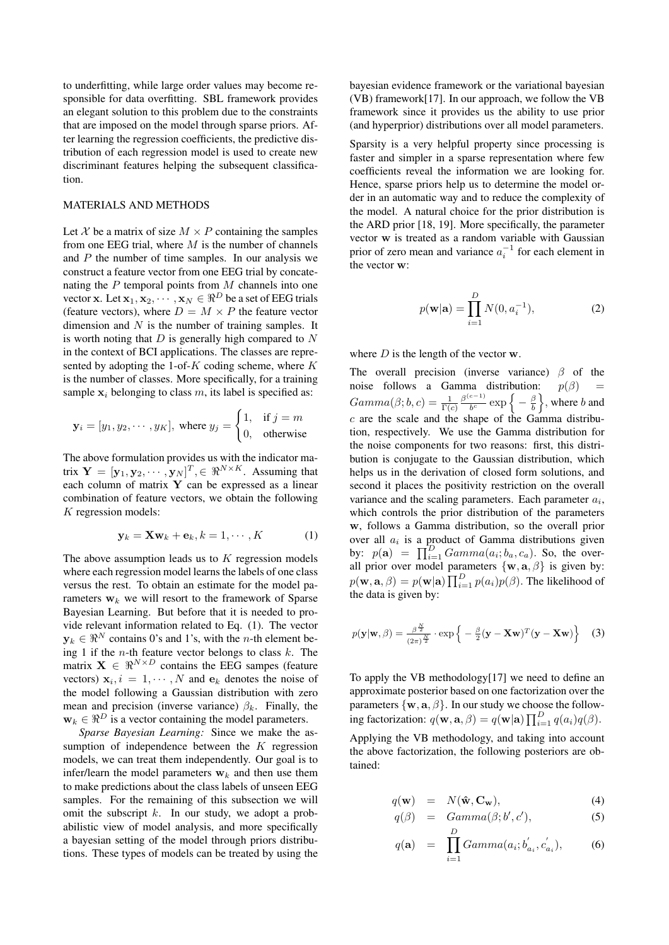to underfitting, while large order values may become responsible for data overfitting. SBL framework provides an elegant solution to this problem due to the constraints that are imposed on the model through sparse priors. After learning the regression coefficients, the predictive distribution of each regression model is used to create new discriminant features helping the subsequent classification.

### MATERIALS AND METHODS

Let X be a matrix of size  $M \times P$  containing the samples from one EEG trial, where  $M$  is the number of channels and  $P$  the number of time samples. In our analysis we construct a feature vector from one EEG trial by concatenating the  $P$  temporal points from  $M$  channels into one vector x. Let  $\mathbf{x}_1, \mathbf{x}_2, \cdots, \mathbf{x}_N \in \Re^D$  be a set of EEG trials (feature vectors), where  $D = M \times P$  the feature vector dimension and  $N$  is the number of training samples. It is worth noting that  $D$  is generally high compared to  $N$ in the context of BCI applications. The classes are represented by adopting the 1-of- $K$  coding scheme, where  $K$ is the number of classes. More specifically, for a training sample  $x_i$  belonging to class m, its label is specified as:

$$
\mathbf{y}_i = [y_1, y_2, \cdots, y_K]
$$
, where  $y_j = \begin{cases} 1, & \text{if } j = m \\ 0, & \text{otherwise} \end{cases}$ 

The above formulation provides us with the indicator matrix  $\mathbf{Y} = [\mathbf{y}_1, \mathbf{y}_2, \cdots, \mathbf{y}_N]^T, \in \Re^{N \times K}$ . Assuming that each column of matrix Y can be expressed as a linear combination of feature vectors, we obtain the following K regression models:

$$
\mathbf{y}_k = \mathbf{X} \mathbf{w}_k + \mathbf{e}_k, k = 1, \cdots, K \tag{1}
$$

The above assumption leads us to  $K$  regression models where each regression model learns the labels of one class versus the rest. To obtain an estimate for the model parameters  $w_k$  we will resort to the framework of Sparse Bayesian Learning. But before that it is needed to provide relevant information related to Eq. (1). The vector  $y_k \in \Re^N$  contains 0's and 1's, with the *n*-th element being 1 if the *n*-th feature vector belongs to class  $k$ . The matrix  $X \in \mathbb{R}^{N \times D}$  contains the EEG sampes (feature vectors)  $x_i$ ,  $i = 1, \dots, N$  and  $e_k$  denotes the noise of the model following a Gaussian distribution with zero mean and precision (inverse variance)  $\beta_k$ . Finally, the  $\mathbf{w}_k \in \Re^D$  is a vector containing the model parameters.

*Sparse Bayesian Learning:* Since we make the assumption of independence between the  $K$  regression models, we can treat them independently. Our goal is to infer/learn the model parameters  $w_k$  and then use them to make predictions about the class labels of unseen EEG samples. For the remaining of this subsection we will omit the subscript  $k$ . In our study, we adopt a probabilistic view of model analysis, and more specifically a bayesian setting of the model through priors distributions. These types of models can be treated by using the bayesian evidence framework or the variational bayesian (VB) framework[17]. In our approach, we follow the VB framework since it provides us the ability to use prior (and hyperprior) distributions over all model parameters.

Sparsity is a very helpful property since processing is faster and simpler in a sparse representation where few coefficients reveal the information we are looking for. Hence, sparse priors help us to determine the model order in an automatic way and to reduce the complexity of the model. A natural choice for the prior distribution is the ARD prior [18, 19]. More specifically, the parameter vector w is treated as a random variable with Gaussian prior of zero mean and variance  $a_i^{-1}$  for each element in the vector w:

$$
p(\mathbf{w}|\mathbf{a}) = \prod_{i=1}^{D} N(0, a_i^{-1}),
$$
 (2)

where  $D$  is the length of the vector  $w$ .

The overall precision (inverse variance)  $\beta$  of the noise follows a Gamma distribution:  $p(\beta)$  $Gamma(\beta; b, c) = \frac{1}{\Gamma(c)} \frac{\beta^{(c-1)}}{b^c}$  $\frac{c-1}{b^c}$  exp  $\left\{-\frac{\beta}{b}\right\}$ , where b and  $c$  are the scale and the shape of the Gamma distribution, respectively. We use the Gamma distribution for the noise components for two reasons: first, this distribution is conjugate to the Gaussian distribution, which helps us in the derivation of closed form solutions, and second it places the positivity restriction on the overall variance and the scaling parameters. Each parameter  $a_i$ , which controls the prior distribution of the parameters w, follows a Gamma distribution, so the overall prior over all  $a_i$  is a product of Gamma distributions given by:  $p(\mathbf{a}) = \prod_{i=1}^{D} Gamma(a_i; b_a, c_a)$ . So, the overall prior over model parameters  $\{w, a, \beta\}$  is given by:  $p(\mathbf{w}, \mathbf{a}, \beta) = p(\mathbf{w}|\mathbf{a}) \prod_{i=1}^{D} p(a_i)p(\beta)$ . The likelihood of the data is given by:

$$
p(\mathbf{y}|\mathbf{w}, \beta) = \frac{\beta^{\frac{N}{2}}}{(2\pi)^{\frac{N}{2}}} \cdot \exp\left\{-\frac{\beta}{2}(\mathbf{y} - \mathbf{X}\mathbf{w})^T(\mathbf{y} - \mathbf{X}\mathbf{w})\right\}
$$
(3)

To apply the VB methodology[17] we need to define an approximate posterior based on one factorization over the parameters  $\{w, a, \beta\}$ . In our study we choose the following factorization:  $q(\mathbf{w}, \mathbf{a}, \beta) = q(\mathbf{w}|\mathbf{a}) \prod_{i=1}^{D} q(a_i)q(\beta)$ .

Applying the VB methodology, and taking into account the above factorization, the following posteriors are obtained:

$$
q(\mathbf{w}) = N(\hat{\mathbf{w}}, \mathbf{C}_{\mathbf{w}}), \tag{4}
$$

$$
q(\beta) = Gamma(\beta; b', c'), \qquad (5)
$$

$$
q(\mathbf{a}) = \prod_{i=1}^{D} Gamma(a_i; b'_{a_i}, c'_{a_i}), \qquad (6)
$$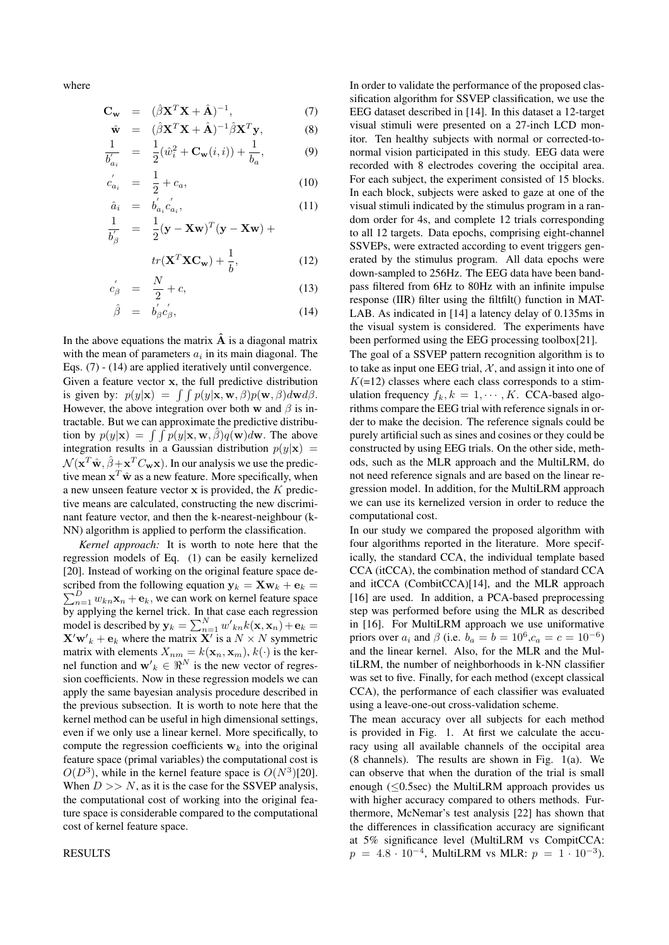where

$$
\mathbf{C}_{\mathbf{w}} = (\hat{\beta}\mathbf{X}^T\mathbf{X} + \hat{\mathbf{A}})^{-1}, \tag{7}
$$

$$
\hat{\mathbf{w}} = (\hat{\beta}\mathbf{X}^T\mathbf{X} + \hat{\mathbf{A}})^{-1}\hat{\beta}\mathbf{X}^T\mathbf{y},
$$
\n(8)\n  
\n
$$
\mathbf{1}_{(1,2,3)} = \mathbf{G}(\mathbf{x},\mathbf{y}) + \mathbf{1}_{(2,3,4)} = \mathbf{Q}
$$

$$
\frac{1}{b'_{a_i}} = \frac{1}{2}(\hat{w}_i^2 + \mathbf{C}_{\mathbf{w}}(i, i)) + \frac{1}{b_a},
$$
(9)

$$
c'_{a_i} = \frac{1}{2} + c_a, \tag{10}
$$

$$
\hat{a}_i = b'_{a_i} c'_{a_i},\tag{11}
$$

$$
\frac{1}{b'_{\beta}} = \frac{1}{2} (\mathbf{y} - \mathbf{X}\mathbf{w})^T (\mathbf{y} - \mathbf{X}\mathbf{w}) +
$$

$$
tr(\mathbf{X}^T \mathbf{X} \mathbf{C}_\mathbf{w}) + \frac{1}{k}, \qquad (12)
$$

$$
tr(\mathbf{X}^T \mathbf{X} \mathbf{C_w}) + \frac{1}{b},\tag{12}
$$

$$
c'_{\beta} = \frac{N}{2} + c,\tag{13}
$$

$$
\hat{\beta} = b_{\beta}^{'} c_{\beta}^{'} , \qquad (14)
$$

In the above equations the matrix  $\hat{A}$  is a diagonal matrix with the mean of parameters  $a_i$  in its main diagonal. The Eqs. (7) - (14) are applied iteratively until convergence. Given a feature vector x, the full predictive distribution is given by:  $p(y|\mathbf{x}) = \int \int p(y|\mathbf{x}, \mathbf{w}, \beta)p(\mathbf{w}, \beta)d\mathbf{w}d\beta$ . However, the above integration over both w and  $\beta$  is intractable. But we can approximate the predictive distribution by  $p(y|\mathbf{x}) = \int \int p(y|\mathbf{x}, \mathbf{w}, \hat{\beta}) q(\mathbf{w}) d\mathbf{w}$ . The above integration results in a Gaussian distribution  $p(y|\mathbf{x})$  =  $\mathcal{N}(\mathbf{x}^T\hat{\mathbf{w}}, \hat{\beta} + \mathbf{x}^T C_{\mathbf{w}}\mathbf{x})$ . In our analysis we use the predictive mean  $\mathbf{x}^T \hat{\mathbf{w}}$  as a new feature. More specifically, when a new unseen feature vector  $x$  is provided, the  $K$  predictive means are calculated, constructing the new discriminant feature vector, and then the k-nearest-neighbour (k-NN) algorithm is applied to perform the classification.

*Kernel approach:* It is worth to note here that the regression models of Eq. (1) can be easily kernelized [20]. Instead of working on the original feature space described from the following equation  $y_k = Xw_k + e_k =$  $\sum_{n=1}^{D} w_{kn} \mathbf{x}_n + \mathbf{e}_k$ , we can work on kernel feature space by applying the kernel trick. In that case each regression model is described by  $y_k = \sum_{n=1}^{N} w'_{kn} k(\mathbf{x}, \mathbf{x}_n) + \mathbf{e}_k =$  $\mathbf{X}'\mathbf{w}'_k + \mathbf{e}_k$  where the matrix  $\mathbf{X}'$  is a  $N \times N$  symmetric matrix with elements  $X_{nm} = k(\mathbf{x}_n, \mathbf{x}_m)$ ,  $k(\cdot)$  is the kernel function and  $w'_{k} \in \Re^{N}$  is the new vector of regression coefficients. Now in these regression models we can apply the same bayesian analysis procedure described in the previous subsection. It is worth to note here that the kernel method can be useful in high dimensional settings, even if we only use a linear kernel. More specifically, to compute the regression coefficients  $w_k$  into the original feature space (primal variables) the computational cost is  $O(D^3)$ , while in the kernel feature space is  $O(N^3)[20]$ . When  $D \gg N$ , as it is the case for the SSVEP analysis, the computational cost of working into the original feature space is considerable compared to the computational cost of kernel feature space.

RESULTS

In order to validate the performance of the proposed classification algorithm for SSVEP classification, we use the EEG dataset described in [14]. In this dataset a 12-target visual stimuli were presented on a 27-inch LCD monitor. Ten healthy subjects with normal or corrected-tonormal vision participated in this study. EEG data were recorded with 8 electrodes covering the occipital area. For each subject, the experiment consisted of 15 blocks. In each block, subjects were asked to gaze at one of the visual stimuli indicated by the stimulus program in a random order for 4s, and complete 12 trials corresponding to all 12 targets. Data epochs, comprising eight-channel SSVEPs, were extracted according to event triggers generated by the stimulus program. All data epochs were down-sampled to 256Hz. The EEG data have been bandpass filtered from 6Hz to 80Hz with an infinite impulse response (IIR) filter using the filtfilt() function in MAT-LAB. As indicated in [14] a latency delay of 0.135ms in the visual system is considered. The experiments have been performed using the EEG processing toolbox[21]. The goal of a SSVEP pattern recognition algorithm is to to take as input one EEG trial,  $\mathcal{X}$ , and assign it into one of  $K(=12)$  classes where each class corresponds to a stimulation frequency  $f_k, k = 1, \dots, K$ . CCA-based algorithms compare the EEG trial with reference signals in order to make the decision. The reference signals could be purely artificial such as sines and cosines or they could be constructed by using EEG trials. On the other side, methods, such as the MLR approach and the MultiLRM, do not need reference signals and are based on the linear regression model. In addition, for the MultiLRM approach we can use its kernelized version in order to reduce the computational cost.

In our study we compared the proposed algorithm with four algorithms reported in the literature. More specifically, the standard CCA, the individual template based CCA (itCCA), the combination method of standard CCA and itCCA (CombitCCA)[14], and the MLR approach [16] are used. In addition, a PCA-based preprocessing step was performed before using the MLR as described in [16]. For MultiLRM approach we use uniformative priors over  $a_i$  and  $\beta$  (i.e.  $b_a = b = 10^6$ ,  $c_a = c = 10^{-6}$ ) and the linear kernel. Also, for the MLR and the MultiLRM, the number of neighborhoods in k-NN classifier was set to five. Finally, for each method (except classical CCA), the performance of each classifier was evaluated using a leave-one-out cross-validation scheme.

The mean accuracy over all subjects for each method is provided in Fig. 1. At first we calculate the accuracy using all available channels of the occipital area (8 channels). The results are shown in Fig. 1(a). We can observe that when the duration of the trial is small enough ( $\leq 0.5$ sec) the MultiLRM approach provides us with higher accuracy compared to others methods. Furthermore, McNemar's test analysis [22] has shown that the differences in classification accuracy are significant at 5% significance level (MultiLRM vs CompitCCA:  $p = 4.8 \cdot 10^{-4}$ , MultiLRM vs MLR:  $p = 1 \cdot 10^{-3}$ ).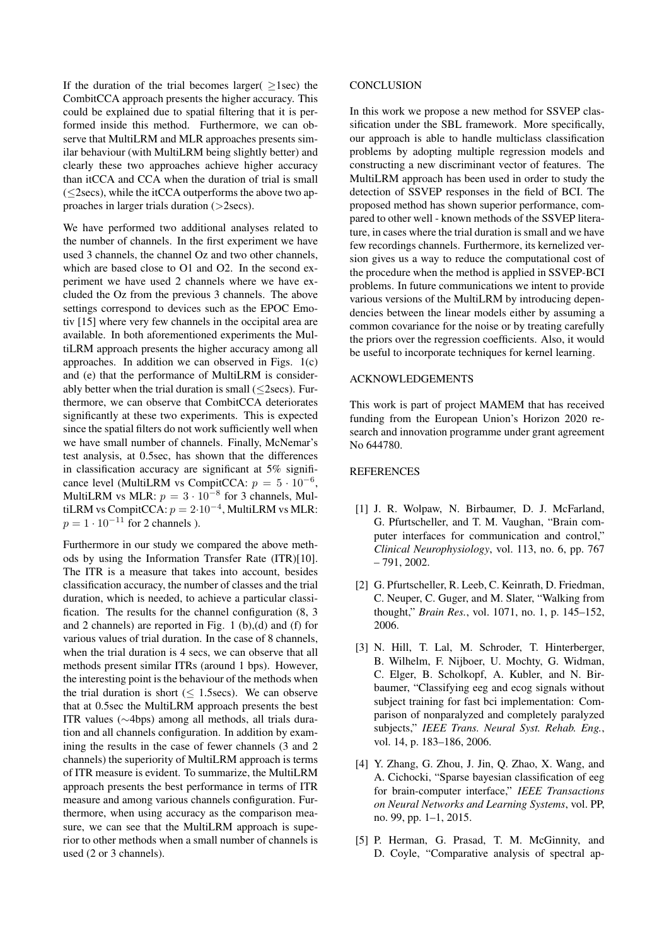If the duration of the trial becomes larger( $>$ 1sec) the CombitCCA approach presents the higher accuracy. This could be explained due to spatial filtering that it is performed inside this method. Furthermore, we can observe that MultiLRM and MLR approaches presents similar behaviour (with MultiLRM being slightly better) and clearly these two approaches achieve higher accuracy than itCCA and CCA when the duration of trial is small (≤2secs), while the itCCA outperforms the above two approaches in larger trials duration (>2secs).

We have performed two additional analyses related to the number of channels. In the first experiment we have used 3 channels, the channel Oz and two other channels, which are based close to O1 and O2. In the second experiment we have used 2 channels where we have excluded the Oz from the previous 3 channels. The above settings correspond to devices such as the EPOC Emotiv [15] where very few channels in the occipital area are available. In both aforementioned experiments the MultiLRM approach presents the higher accuracy among all approaches. In addition we can observed in Figs. 1(c) and (e) that the performance of MultiLRM is considerably better when the trial duration is small  $(\leq 2$ secs). Furthermore, we can observe that CombitCCA deteriorates significantly at these two experiments. This is expected since the spatial filters do not work sufficiently well when we have small number of channels. Finally, McNemar's test analysis, at 0.5sec, has shown that the differences in classification accuracy are significant at 5% significance level (MultiLRM vs CompitCCA:  $p = 5 \cdot 10^{-6}$ , MultiLRM vs MLR:  $p = 3 \cdot 10^{-8}$  for 3 channels, MultiLRM vs CompitCCA:  $p = 2 \cdot 10^{-4}$ , MultiLRM vs MLR:  $p = 1 \cdot 10^{-11}$  for 2 channels ).

Furthermore in our study we compared the above methods by using the Information Transfer Rate (ITR)[10]. The ITR is a measure that takes into account, besides classification accuracy, the number of classes and the trial duration, which is needed, to achieve a particular classification. The results for the channel configuration (8, 3 and 2 channels) are reported in Fig. 1 (b),(d) and (f) for various values of trial duration. In the case of 8 channels, when the trial duration is 4 secs, we can observe that all methods present similar ITRs (around 1 bps). However, the interesting point is the behaviour of the methods when the trial duration is short  $(< 1.5$ secs). We can observe that at 0.5sec the MultiLRM approach presents the best ITR values (∼4bps) among all methods, all trials duration and all channels configuration. In addition by examining the results in the case of fewer channels (3 and 2 channels) the superiority of MultiLRM approach is terms of ITR measure is evident. To summarize, the MultiLRM approach presents the best performance in terms of ITR measure and among various channels configuration. Furthermore, when using accuracy as the comparison measure, we can see that the MultiLRM approach is superior to other methods when a small number of channels is used (2 or 3 channels).

#### **CONCLUSION**

In this work we propose a new method for SSVEP classification under the SBL framework. More specifically, our approach is able to handle multiclass classification problems by adopting multiple regression models and constructing a new discriminant vector of features. The MultiLRM approach has been used in order to study the detection of SSVEP responses in the field of BCI. The proposed method has shown superior performance, compared to other well - known methods of the SSVEP literature, in cases where the trial duration is small and we have few recordings channels. Furthermore, its kernelized version gives us a way to reduce the computational cost of the procedure when the method is applied in SSVEP-BCI problems. In future communications we intent to provide various versions of the MultiLRM by introducing dependencies between the linear models either by assuming a common covariance for the noise or by treating carefully the priors over the regression coefficients. Also, it would be useful to incorporate techniques for kernel learning.

## ACKNOWLEDGEMENTS

This work is part of project MAMEM that has received funding from the European Union's Horizon 2020 research and innovation programme under grant agreement No 644780.

#### **REFERENCES**

- [1] J. R. Wolpaw, N. Birbaumer, D. J. McFarland, G. Pfurtscheller, and T. M. Vaughan, "Brain computer interfaces for communication and control," *Clinical Neurophysiology*, vol. 113, no. 6, pp. 767 – 791, 2002.
- [2] G. Pfurtscheller, R. Leeb, C. Keinrath, D. Friedman, C. Neuper, C. Guger, and M. Slater, "Walking from thought," *Brain Res.*, vol. 1071, no. 1, p. 145–152, 2006.
- [3] N. Hill, T. Lal, M. Schroder, T. Hinterberger, B. Wilhelm, F. Nijboer, U. Mochty, G. Widman, C. Elger, B. Scholkopf, A. Kubler, and N. Birbaumer, "Classifying eeg and ecog signals without subject training for fast bci implementation: Comparison of nonparalyzed and completely paralyzed subjects," *IEEE Trans. Neural Syst. Rehab. Eng.*, vol. 14, p. 183–186, 2006.
- [4] Y. Zhang, G. Zhou, J. Jin, Q. Zhao, X. Wang, and A. Cichocki, "Sparse bayesian classification of eeg for brain-computer interface," *IEEE Transactions on Neural Networks and Learning Systems*, vol. PP, no. 99, pp. 1–1, 2015.
- [5] P. Herman, G. Prasad, T. M. McGinnity, and D. Coyle, "Comparative analysis of spectral ap-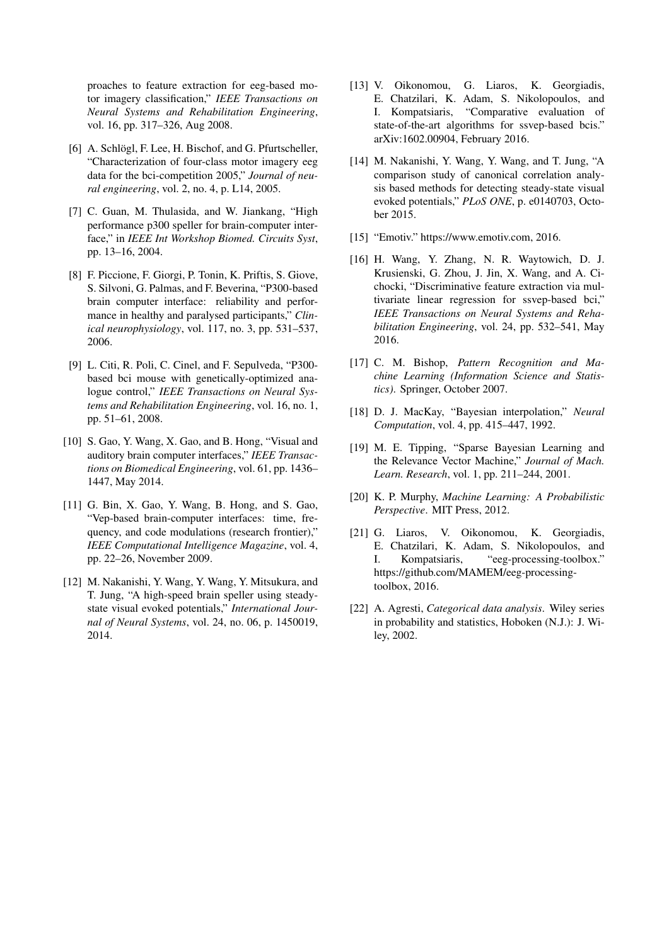proaches to feature extraction for eeg-based motor imagery classification," *IEEE Transactions on Neural Systems and Rehabilitation Engineering*, vol. 16, pp. 317–326, Aug 2008.

- [6] A. Schlögl, F. Lee, H. Bischof, and G. Pfurtscheller, "Characterization of four-class motor imagery eeg data for the bci-competition 2005," *Journal of neural engineering*, vol. 2, no. 4, p. L14, 2005.
- [7] C. Guan, M. Thulasida, and W. Jiankang, "High performance p300 speller for brain-computer interface," in *IEEE Int Workshop Biomed. Circuits Syst*, pp. 13–16, 2004.
- [8] F. Piccione, F. Giorgi, P. Tonin, K. Priftis, S. Giove, S. Silvoni, G. Palmas, and F. Beverina, "P300-based brain computer interface: reliability and performance in healthy and paralysed participants," *Clinical neurophysiology*, vol. 117, no. 3, pp. 531–537, 2006.
- [9] L. Citi, R. Poli, C. Cinel, and F. Sepulveda, "P300 based bci mouse with genetically-optimized analogue control," *IEEE Transactions on Neural Systems and Rehabilitation Engineering*, vol. 16, no. 1, pp. 51–61, 2008.
- [10] S. Gao, Y. Wang, X. Gao, and B. Hong, "Visual and auditory brain computer interfaces," *IEEE Transactions on Biomedical Engineering*, vol. 61, pp. 1436– 1447, May 2014.
- [11] G. Bin, X. Gao, Y. Wang, B. Hong, and S. Gao, "Vep-based brain-computer interfaces: time, frequency, and code modulations (research frontier)," *IEEE Computational Intelligence Magazine*, vol. 4, pp. 22–26, November 2009.
- [12] M. Nakanishi, Y. Wang, Y. Wang, Y. Mitsukura, and T. Jung, "A high-speed brain speller using steadystate visual evoked potentials," *International Journal of Neural Systems*, vol. 24, no. 06, p. 1450019, 2014.
- [13] V. Oikonomou, G. Liaros, K. Georgiadis, E. Chatzilari, K. Adam, S. Nikolopoulos, and I. Kompatsiaris, "Comparative evaluation of state-of-the-art algorithms for ssvep-based bcis." arXiv:1602.00904, February 2016.
- [14] M. Nakanishi, Y. Wang, Y. Wang, and T. Jung, "A comparison study of canonical correlation analysis based methods for detecting steady-state visual evoked potentials," *PLoS ONE*, p. e0140703, October 2015.
- [15] "Emotiv." https://www.emotiv.com, 2016.
- [16] H. Wang, Y. Zhang, N. R. Waytowich, D. J. Krusienski, G. Zhou, J. Jin, X. Wang, and A. Cichocki, "Discriminative feature extraction via multivariate linear regression for ssvep-based bci," *IEEE Transactions on Neural Systems and Rehabilitation Engineering*, vol. 24, pp. 532–541, May 2016.
- [17] C. M. Bishop, *Pattern Recognition and Machine Learning (Information Science and Statistics)*. Springer, October 2007.
- [18] D. J. MacKay, "Bayesian interpolation," *Neural Computation*, vol. 4, pp. 415–447, 1992.
- [19] M. E. Tipping, "Sparse Bayesian Learning and the Relevance Vector Machine," *Journal of Mach. Learn. Research*, vol. 1, pp. 211–244, 2001.
- [20] K. P. Murphy, *Machine Learning: A Probabilistic Perspective*. MIT Press, 2012.
- [21] G. Liaros, V. Oikonomou, K. Georgiadis, E. Chatzilari, K. Adam, S. Nikolopoulos, and I. Kompatsiaris, "eeg-processing-toolbox." https://github.com/MAMEM/eeg-processingtoolbox, 2016.
- [22] A. Agresti, *Categorical data analysis*. Wiley series in probability and statistics, Hoboken (N.J.): J. Wiley, 2002.